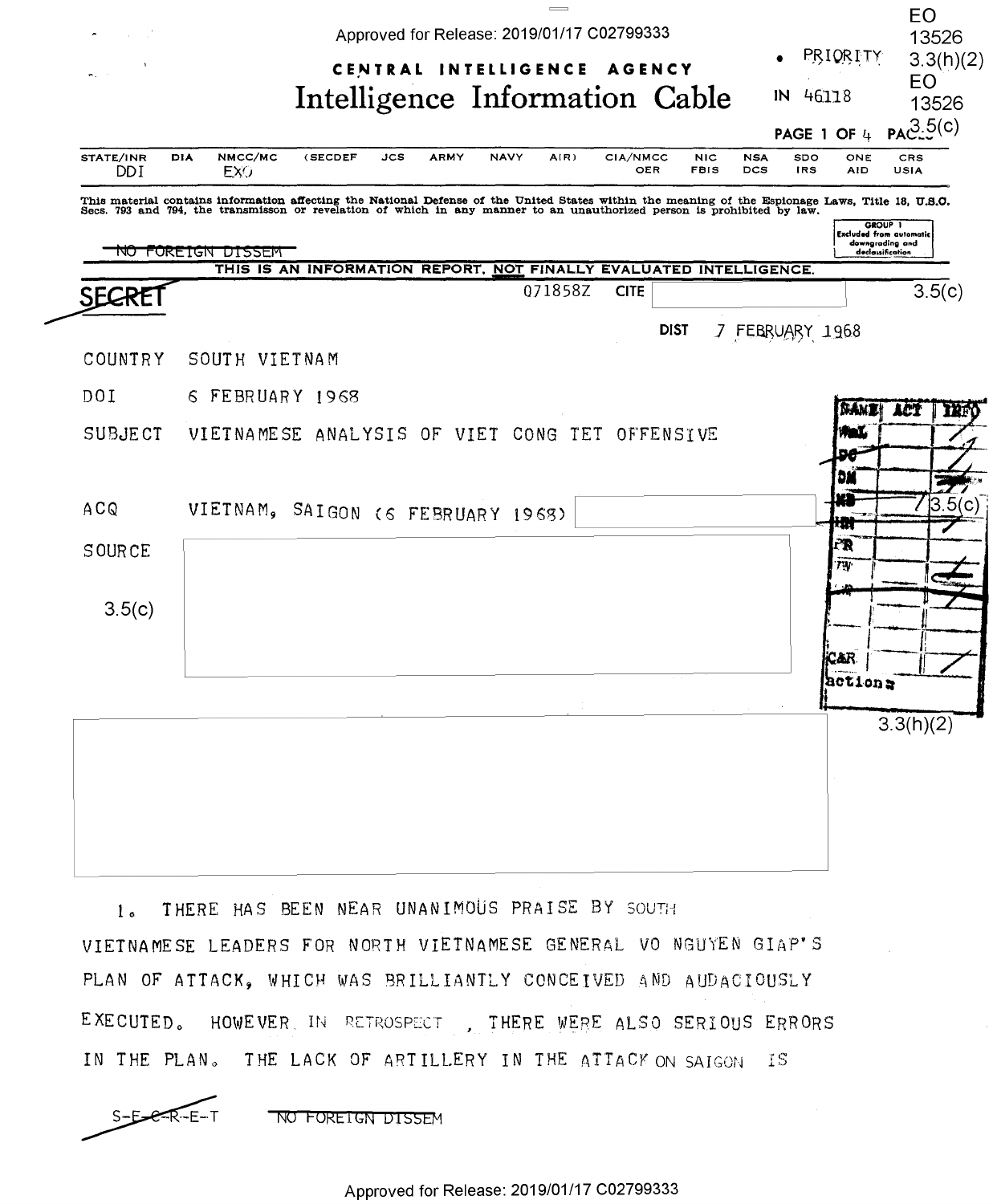

THERE HAS BEEN NEAR UNANIMOUS PRAISE BY SOUTH  $1<sub>0</sub>$ VIETNAMESE LEADERS FOR NORTH VIETNAMESE GENERAL VO NGUYEN GIAP'S PLAN OF ATTACK, WHICH WAS BRILLIANTLY CONCEIVED AND AUDACIOUSLY EXECUTED. HOWEVER IN RETROSPECT, THERE WERE ALSO SERIOUS ERRORS IN THE PLAN. THE LACK OF ARTILLERY IN THE ATTACK ON SAIGON IS

NO FOREIGN DISSEM

 $S-E- $R-E-T$$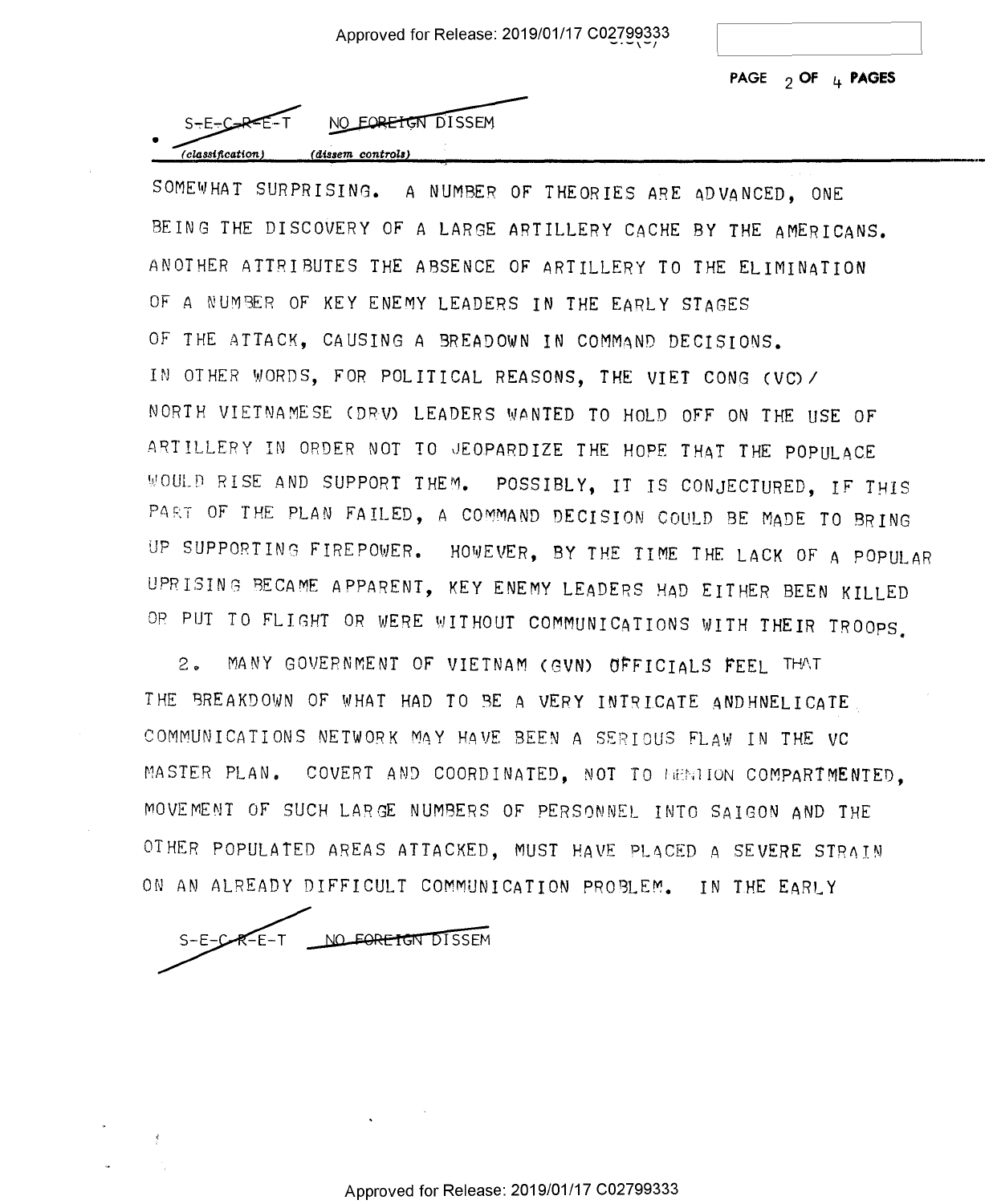**PAGE 2 OF 4 PAGES**  PAGE 2 OF '4' PAGES



NO EORETGN DISSEM

SOMEWHAT SURPRISING. A NUMBER OF THEORIES ARE ADVANCED, ONE BEING THE DISCOVERY OF A LARGE ARTILLERY CACHE BY THE AMERICANS. BEING THE DISCOVERY OF A LARGE ARTILLERY CACHE BY THE AMERICANS. ANOTHER ATTRIBUTES THE ABSENCE OF ARTILLERY TO THE ELIMINATION ANOTHER ATTRIBUTES THE ABSENCE OF ARTILLERY TO THE ELIMINATION OF A NUM9ER OF KEY ENEMY LEADERS IN THE EARLY STAGES OF A NUMBER OF KEY ENEMY LEADERS IN THE EARLY STAGES OF THE ATTACK, CAUSING A BREADOWN IN COMMAND DECISIONS. IN OTHER <sup>1</sup> .1/0RDS, FOR POLITICAL REASONS, THE VIET CONG (VC) *I*  IN OTHER NORDS, FOR POLITICAL REASONS, THE VIET CONS (VC)/ NORTH VIETNAMESE CDRV) LEADERS W.ONTED TO HOLD OFF ON THE USE OF NORTH VIETNAMESE (DRV) LEADERS NANTED TO HOLD OFF ON THE USE OF ARTILLERY IN ORDER NOT TO JEOPARDIZE THE HOPE THAT THE POPULACE WOULD RISE AND SUPPORT THEM. POSSIBLY, IT IS CONJECTURED, IF THIS PART OF THE PLAN FAILED, A COMMAND DECISION COULD BE MADE TO BRING UP SUPPORTING FIREPOWER. HOWEVER, BY THE TIME THE LACK OF A POPULAR UPRISING BECAME APPARENT, KEY ENEMY LE,ADERS HAD EITHER BEEN KILLED UPRISING BECAME APPARENT, KEY ENEMY LEADERS HAD EITHER BEEN KILLED OP PUT TO FLIGHT OR WERE WITHOUT COMMUNICATIONS WITH THEIR TROOPS OR PUT TO FLIGHT OR WERE WITHOUT COMMUNICATIONS WITH THEIR TROOPS.

2. MANY GOVERNMENT OF VIETNAM (GVN) OFFICIALS FEEL THAT THE BREAKDOWN OF WHAT HAD TO BE A VERY INTRICATE ANDHNELICATE . COMMUNICATIONS NETWORK MAY HAVE BEEN A SERIOUS FLAW IN THE VC MASTER PLAN. COVERT AND COORDINATED, NOT TO HENIION COMPARTMENTED, MOVEMENT OF SUCH LARGE NUMBERS OF PERSONNEL INTO SAIGON AND THE OTHER POPULATED AREAS ATTACKED, MUST HAVE PLACED A SEVERE STRAIN ON AN ALREADY DIFFICULT COMMUNICATION PROBLEM. IN THE EARLY

NO FORE TGN DISSEM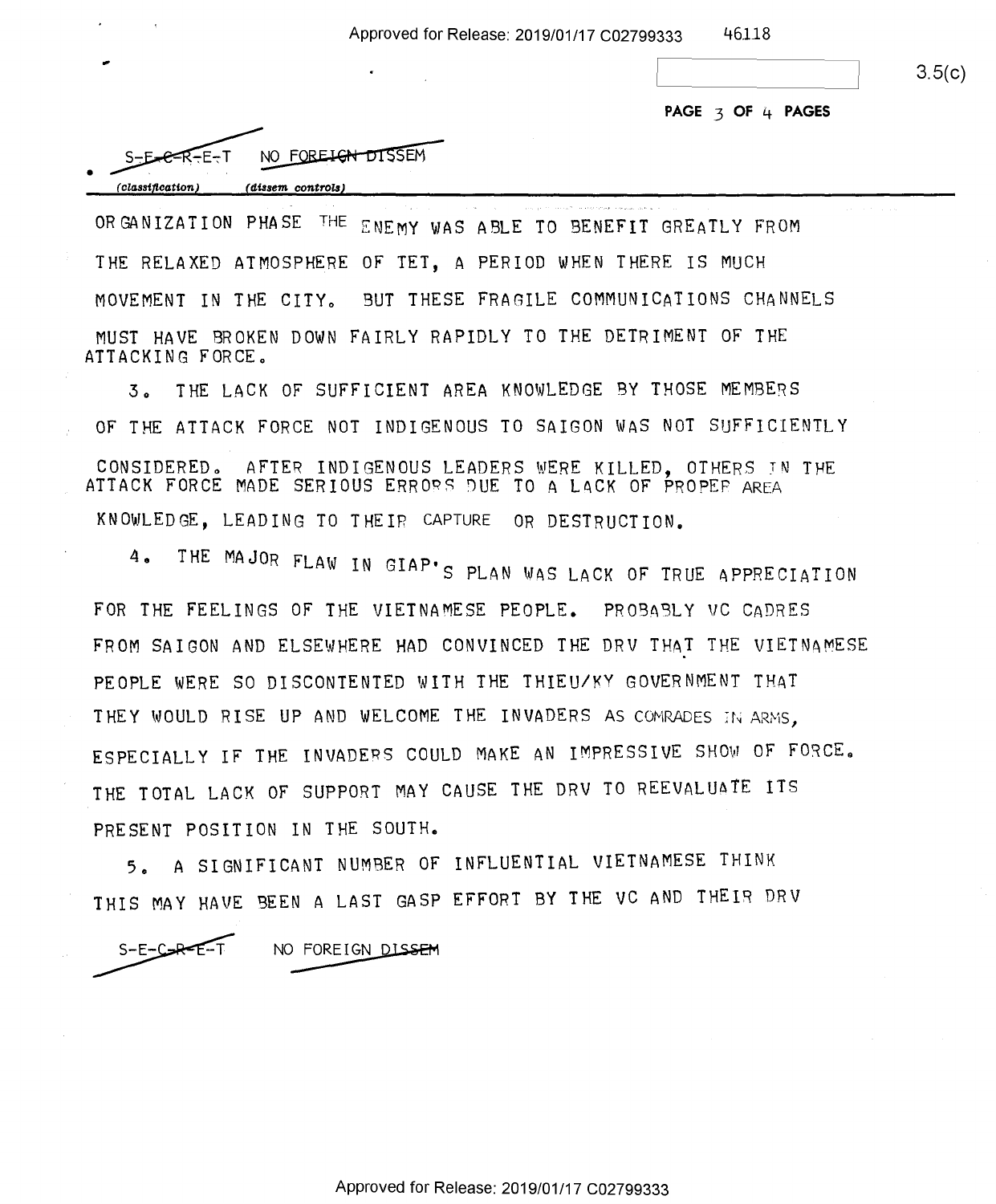3.5(c)

**PAGE 3 OF 4 PAGES** 

| $S-E-EX-F$       | NO FOREIGN DISSEM |
|------------------|-------------------|
| (classification) | (dissem controls) |

...

ORGANIZATION PHASE THE ENEMY WAS ABLE TO BENEFIT GREATLY FROM ORGANIZATION PHASE THE ENEMY MAS ABLE TO EENEEIT GREATLY FROM THE RELAXED ATMOSPHERE OF TET, A PERIOD WHEN THERE IS MUCH THE RELAXED ATMOSPHERE 0F TEI, A PERIOD NHEN THERE IS MUCH MOVEMENT IN THE CITYo BUT THESE FRAGILE COMMUNICATIONS CHANNELS MOVEMENT IN THE CITYO BUT THESE FRARILE COMMUNICATIONS CHANNELS MUST HAVE BROKEN DOWN FAIRLY RAPIDLY TO THE DETRIMENT OF THE MUST HAVE BROKEN DONN FAIRLY RAPIDLY TO THE DETRIMENT OF THE ATTACKING FORCE.

3. THE LACK OF SUFFICIENT AREA KNOWLEDGE BY THOSE MEMBERS OF THE ATTACK FORCE NOT INDIGENOUS TO SAIGON WAS NOT SUFFICIENTLY OF THE ATTACK FORCE NOT INDIGENOUS TO SAIGON WAS NOT SUFFICIENTLY CONSIDERED. AFTER INDIGENOUS LEADERS WERE KILLED, OTHERS IN THE<br>ATTACK FORCE MADE SERIOUS ERRORS DUE TO A LACK OF PROPER AREA ATTACK FORCE MADE SERIOUS ERRORS DUE TO A LACK OF PROPER AREA KNOWLEDGE, LEADING TO THEIR CAPTURE OR DESTRUCTION. KNOMLEDCE, LEADING TO THEIR CARRRE OR DESTRUCTION.

4. THE MAJOR FLAW IN GIAP'S PLAN WAS LACK OF TRUE APPRECIATION FOR THE FEELINGS OF THE VIETNAMESE PEOPLE. PROBASLY VC CADRES FOR THE FEELINGS OF THE VIETNAMESE PEOPLE. PROBABLY UC CADRES FROM SAIGON AND ELSEWHERE HAD CONVINCED THE DRV THAT THE VIETNAMESE PEOPLE WERE SO DISCONTENTED WITH THE THIEU/KY GOVERNMENT THAT PEOPLE WERE SO DISCONTENTED WITH THE THIEU/KY GOVERNMENT THAT THEY WOULD RISE UP AND WELCOME THE INVADERS AS COMRADES IN ARMS, ESPECIALLY IF THE INVADERS COULD MAKE AN IMPRESSIVE SHOW OF FORCE. THE TOTAL LACK OF SUPPORT MAY CAUSE THE DRV TO REEVALU6TE ITS THE TOTAL LACK OF SUPPORT MAY CAUSE THE DRV TO REEVALUATE ITS PRESENT POSITION IN THE SOUTH. PRESENT POSITION IN THE SOUTH.

5. A SIGNIFICANT NUMBER OF INFLUENTIAL VIETNAMESE THINK 5A <sup>A</sup> SIGNIFICANT NUMBER OF INFLUENTIAL VIETNAMESE THINK THIS MAY HAVE BEEN A LAST GASP EFFORT BY THE VC AND THEIR DRV<br>S-E-C-R-E-T NO FOREIGN DISSEM

S-E-C-R-E-T NO FOREIGN DISSEM